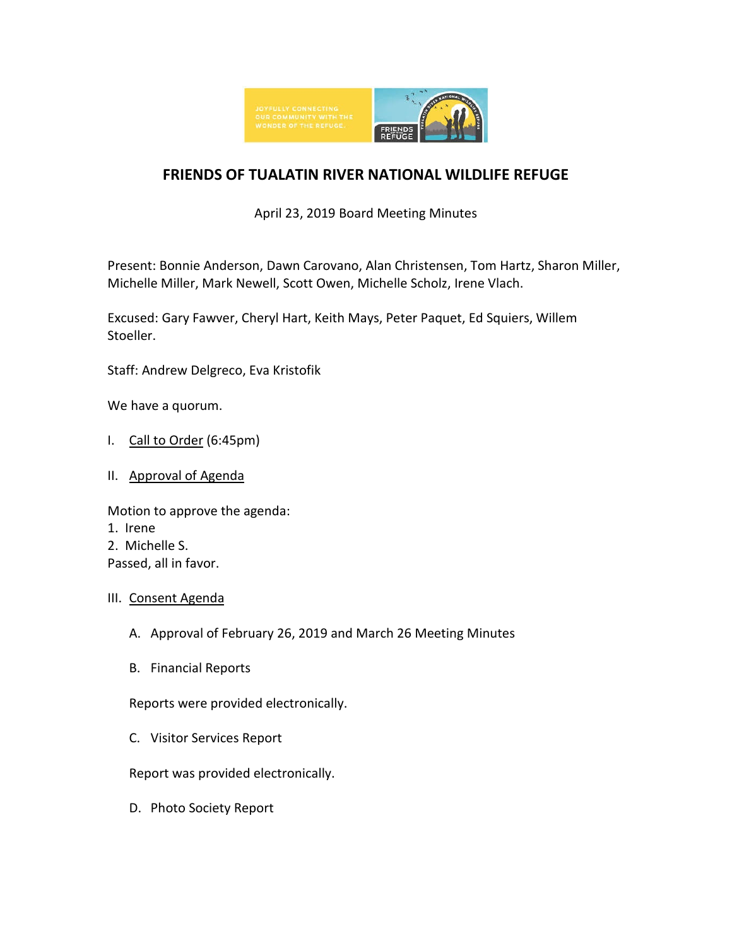

# **FRIENDS OF TUALATIN RIVER NATIONAL WILDLIFE REFUGE**

April 23, 2019 Board Meeting Minutes

Present: Bonnie Anderson, Dawn Carovano, Alan Christensen, Tom Hartz, Sharon Miller, Michelle Miller, Mark Newell, Scott Owen, Michelle Scholz, Irene Vlach.

Excused: Gary Fawver, Cheryl Hart, Keith Mays, Peter Paquet, Ed Squiers, Willem Stoeller.

Staff: Andrew Delgreco, Eva Kristofik

We have a quorum.

- I. Call to Order (6:45pm)
- II. Approval of Agenda

Motion to approve the agenda: 1. Irene 2. Michelle S. Passed, all in favor.

- III. Consent Agenda
	- A. Approval of February 26, 2019 and March 26 Meeting Minutes
	- B. Financial Reports

Reports were provided electronically.

C. Visitor Services Report

Report was provided electronically.

D. Photo Society Report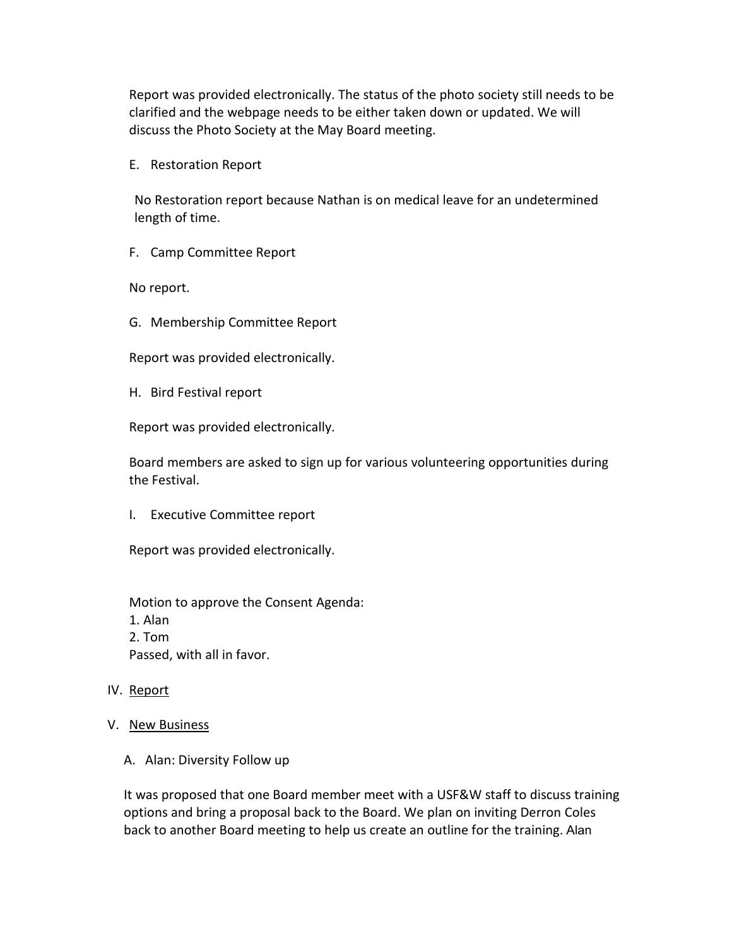Report was provided electronically. The status of the photo society still needs to be clarified and the webpage needs to be either taken down or updated. We will discuss the Photo Society at the May Board meeting.

E. Restoration Report

No Restoration report because Nathan is on medical leave for an undetermined length of time.

F. Camp Committee Report

No report.

G. Membership Committee Report

Report was provided electronically.

H. Bird Festival report

Report was provided electronically.

Board members are asked to sign up for various volunteering opportunities during the Festival.

I. Executive Committee report

Report was provided electronically.

Motion to approve the Consent Agenda: 1. Alan 2. Tom Passed, with all in favor.

### IV. Report

- V. New Business
	- A. Alan: Diversity Follow up

It was proposed that one Board member meet with a USF&W staff to discuss training options and bring a proposal back to the Board. We plan on inviting Derron Coles back to another Board meeting to help us create an outline for the training. Alan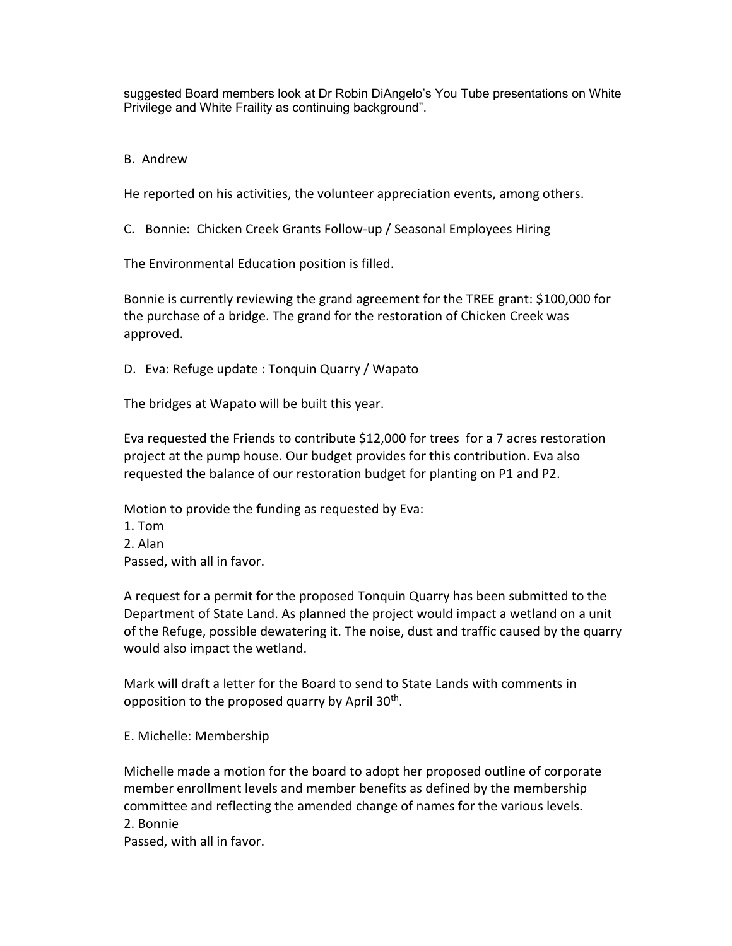suggested Board members look at Dr Robin DiAngelo's You Tube presentations on White Privilege and White Fraility as continuing background".

B. Andrew

He reported on his activities, the volunteer appreciation events, among others.

C. Bonnie: Chicken Creek Grants Follow-up / Seasonal Employees Hiring

The Environmental Education position is filled.

Bonnie is currently reviewing the grand agreement for the TREE grant: \$100,000 for the purchase of a bridge. The grand for the restoration of Chicken Creek was approved.

D. Eva: Refuge update : Tonquin Quarry / Wapato

The bridges at Wapato will be built this year.

Eva requested the Friends to contribute \$12,000 for trees for a 7 acres restoration project at the pump house. Our budget provides for this contribution. Eva also requested the balance of our restoration budget for planting on P1 and P2.

Motion to provide the funding as requested by Eva:

- 1. Tom
- 2. Alan

Passed, with all in favor.

A request for a permit for the proposed Tonquin Quarry has been submitted to the Department of State Land. As planned the project would impact a wetland on a unit of the Refuge, possible dewatering it. The noise, dust and traffic caused by the quarry would also impact the wetland.

Mark will draft a letter for the Board to send to State Lands with comments in opposition to the proposed quarry by April  $30<sup>th</sup>$ .

E. Michelle: Membership

Michelle made a motion for the board to adopt her proposed outline of corporate member enrollment levels and member benefits as defined by the membership committee and reflecting the amended change of names for the various levels. 2. Bonnie

Passed, with all in favor.